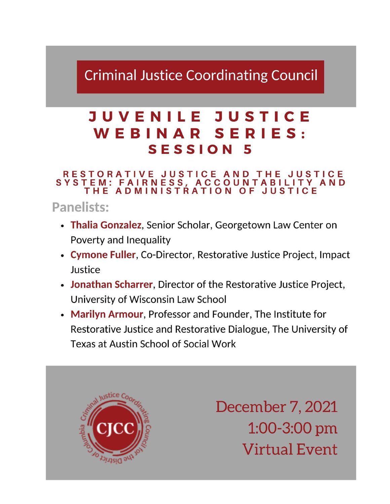## **Criminal Justice Coordinating Council**

### JUVENILE **JUSTICE** WEBINAR SERIES: SESSION 5

# RESTORATIVE JUSTICE AND THE JUSTICE<br>SYSTEM: FAIRNESS, ACCOUNTABILITY AND<br>THE ADMINISTRATION OF JUSTICE

**Panelists:** 

- Thalia Gonzalez, Senior Scholar, Georgetown Law Center on Poverty and Inequality
- Cymone Fuller, Co-Director, Restorative Justice Project, Impact Justice
- Jonathan Scharrer, Director of the Restorative Justice Project, University of Wisconsin Law School
- Marilyn Armour, Professor and Founder, The Institute for Restorative Justice and Restorative Dialogue, The University of Texas at Austin School of Social Work



December 7, 2021 1:00-3:00 pm **Virtual Event**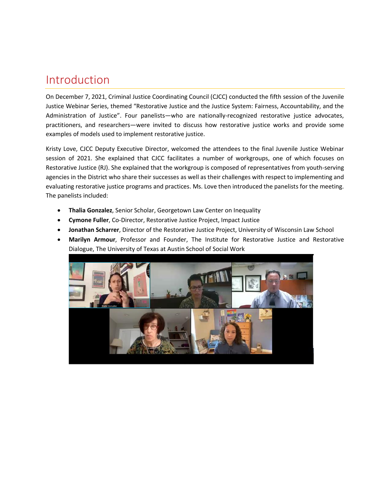## Introduction

On December 7, 2021, Criminal Justice Coordinating Council (CJCC) conducted the fifth session of the Juvenile Justice Webinar Series, themed "Restorative Justice and the Justice System: Fairness, Accountability, and the Administration of Justice". Four panelists—who are nationally-recognized restorative justice advocates, practitioners, and researchers—were invited to discuss how restorative justice works and provide some examples of models used to implement restorative justice.

Kristy Love, CJCC Deputy Executive Director, welcomed the attendees to the final Juvenile Justice Webinar session of 2021. She explained that CJCC facilitates a number of workgroups, one of which focuses on Restorative Justice (RJ). She explained that the workgroup is composed of representatives from youth-serving agencies in the District who share their successes as well as their challenges with respect to implementing and evaluating restorative justice programs and practices. Ms. Love then introduced the panelists for the meeting. The panelists included:

- **Thalia Gonzalez**, Senior Scholar, Georgetown Law Center on Inequality
- **Cymone Fuller**, Co-Director, Restorative Justice Project, Impact Justice
- **Jonathan Scharrer**, Director of the Restorative Justice Project, University of Wisconsin Law School
- **Marilyn Armour**, Professor and Founder, The Institute for Restorative Justice and Restorative Dialogue, The University of Texas at Austin School of Social Work

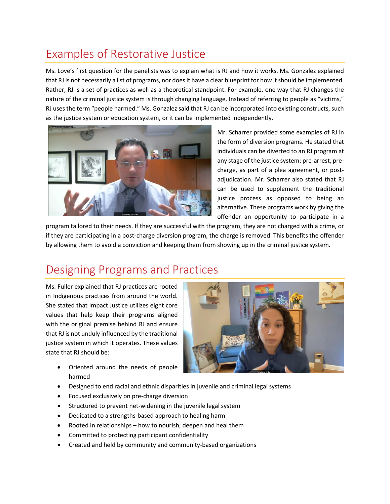## Examples of Restorative Justice

Ms. Love's first question for the panelists was to explain what is RJ and how it works. Ms. Gonzalez explained that RJ is not necessarily a list of programs, nor does it have a clear blueprint for how it should be implemented. Rather, RJ is a set of practices as well as a theoretical standpoint. For example, one way that RJ changes the nature of the criminal justice system is through changing language. Instead of referring to people as "victims," RJ uses the term "people harmed." Ms. Gonzalez said that RJ can be incorporated into existing constructs, such as the justice system or education system, or it can be implemented independently.



Mr. Scharrer provided some examples of RJ in the form of diversion programs. He stated that individuals can be diverted to an RJ program at any stage of the justice system: pre-arrest, precharge, as part of a plea agreement, or postadjudication. Mr. Scharrer also stated that RJ can be used to supplement the traditional justice process as opposed to being an alternative. These programs work by giving the offender an opportunity to participate in a

program tailored to their needs. If they are successful with the program, they are not charged with a crime, or if they are participating in a post-charge diversion program, the charge is removed. This benefits the offender by allowing them to avoid a conviction and keeping them from showing up in the criminal justice system.

## Designing Programs and Practices

Ms. Fuller explained that RJ practices are rooted in Indigenous practices from around the world. She stated that Impact Justice utilizes eight core values that help keep their programs aligned with the original premise behind RJ and ensure that RJ is not unduly influenced by the traditional justice system in which it operates. These values state that RJ should be:



- Oriented around the needs of people harmed
- Designed to end racial and ethnic disparities in juvenile and criminal legal systems
- Focused exclusively on pre-charge diversion
- Structured to prevent net-widening in the juvenile legal system
- Dedicated to a strengths-based approach to healing harm
- Rooted in relationships how to nourish, deepen and heal them
- Committed to protecting participant confidentiality
- Created and held by community and community-based organizations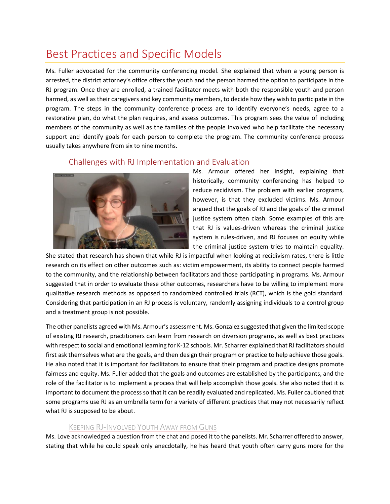## Best Practices and Specific Models

Ms. Fuller advocated for the community conferencing model. She explained that when a young person is arrested, the district attorney's office offers the youth and the person harmed the option to participate in the RJ program. Once they are enrolled, a trained facilitator meets with both the responsible youth and person harmed, as well as their caregivers and key community members, to decide how they wish to participate in the program. The steps in the community conference process are to identify everyone's needs, agree to a restorative plan, do what the plan requires, and assess outcomes. This program sees the value of including members of the community as well as the families of the people involved who help facilitate the necessary support and identify goals for each person to complete the program. The community conference process usually takes anywhere from six to nine months.

#### Challenges with RJ Implementation and Evaluation



Ms. Armour offered her insight, explaining that historically, community conferencing has helped to reduce recidivism. The problem with earlier programs, however, is that they excluded victims. Ms. Armour argued that the goals of RJ and the goals of the criminal justice system often clash. Some examples of this are that RJ is values-driven whereas the criminal justice system is rules-driven, and RJ focuses on equity while the criminal justice system tries to maintain equality.

She stated that research has shown that while RJ is impactful when looking at recidivism rates, there is little research on its effect on other outcomes such as: victim empowerment, its ability to connect people harmed to the community, and the relationship between facilitators and those participating in programs. Ms. Armour suggested that in order to evaluate these other outcomes, researchers have to be willing to implement more qualitative research methods as opposed to randomized controlled trials (RCT), which is the gold standard. Considering that participation in an RJ process is voluntary, randomly assigning individuals to a control group and a treatment group is not possible.

The other panelists agreed with Ms. Armour's assessment. Ms. Gonzalez suggested that given the limited scope of existing RJ research, practitioners can learn from research on diversion programs, as well as best practices with respect to social and emotional learning for K-12 schools. Mr. Scharrer explained that RJ facilitators should first ask themselves what are the goals, and then design their program or practice to help achieve those goals. He also noted that it is important for facilitators to ensure that their program and practice designs promote fairness and equity. Ms. Fuller added that the goals and outcomes are established by the participants, and the role of the facilitator is to implement a process that will help accomplish those goals. She also noted that it is important to document the process so that it can be readily evaluated and replicated. Ms. Fuller cautioned that some programs use RJ as an umbrella term for a variety of different practices that may not necessarily reflect what RJ is supposed to be about.

#### KEEPING RJ-INVOLVED YOUTH AWAY FROM GUNS

Ms. Love acknowledged a question from the chat and posed it to the panelists. Mr. Scharrer offered to answer, stating that while he could speak only anecdotally, he has heard that youth often carry guns more for the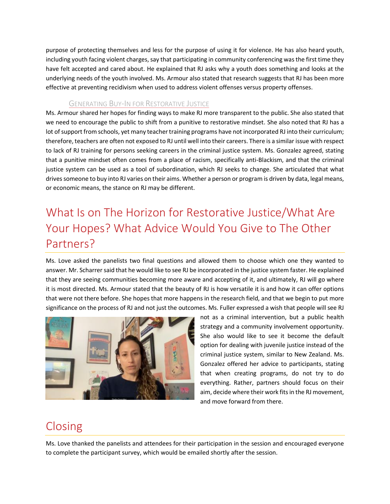purpose of protecting themselves and less for the purpose of using it for violence. He has also heard youth, including youth facing violent charges, say that participating in community conferencing was the first time they have felt accepted and cared about. He explained that RJ asks why a youth does something and looks at the underlying needs of the youth involved. Ms. Armour also stated that research suggests that RJ has been more effective at preventing recidivism when used to address violent offenses versus property offenses.

#### GENERATING BUY-IN FOR RESTORATIVE JUSTICE

Ms. Armour shared her hopes for finding ways to make RJ more transparent to the public. She also stated that we need to encourage the public to shift from a punitive to restorative mindset. She also noted that RJ has a lot of support from schools, yet many teacher training programs have not incorporated RJ into their curriculum; therefore, teachers are often not exposed to RJ until well into their careers. There is a similar issue with respect to lack of RJ training for persons seeking careers in the criminal justice system. Ms. Gonzalez agreed, stating that a punitive mindset often comes from a place of racism, specifically anti-Blackism, and that the criminal justice system can be used as a tool of subordination, which RJ seeks to change. She articulated that what drives someone to buy into RJ varies on their aims. Whether a person or program is driven by data, legal means, or economic means, the stance on RJ may be different.

## What Is on The Horizon for Restorative Justice/What Are Your Hopes? What Advice Would You Give to The Other Partners?

Ms. Love asked the panelists two final questions and allowed them to choose which one they wanted to answer. Mr. Scharrer said that he would like to see RJ be incorporated in the justice system faster. He explained that they are seeing communities becoming more aware and accepting of it, and ultimately, RJ will go where it is most directed. Ms. Armour stated that the beauty of RJ is how versatile it is and how it can offer options that were not there before. She hopes that more happens in the research field, and that we begin to put more significance on the process of RJ and not just the outcomes. Ms. Fuller expressed a wish that people will see RJ



not as a criminal intervention, but a public health strategy and a community involvement opportunity. She also would like to see it become the default option for dealing with juvenile justice instead of the criminal justice system, similar to New Zealand. Ms. Gonzalez offered her advice to participants, stating that when creating programs, do not try to do everything. Rather, partners should focus on their aim, decide where their work fits in the RJ movement, and move forward from there.

## **Closing**

Ms. Love thanked the panelists and attendees for their participation in the session and encouraged everyone to complete the participant survey, which would be emailed shortly after the session.